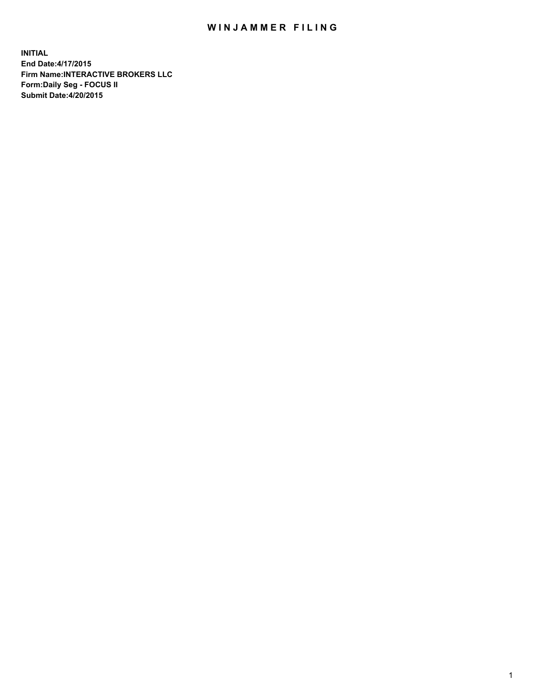## WIN JAMMER FILING

**INITIAL End Date:4/17/2015 Firm Name:INTERACTIVE BROKERS LLC Form:Daily Seg - FOCUS II Submit Date:4/20/2015**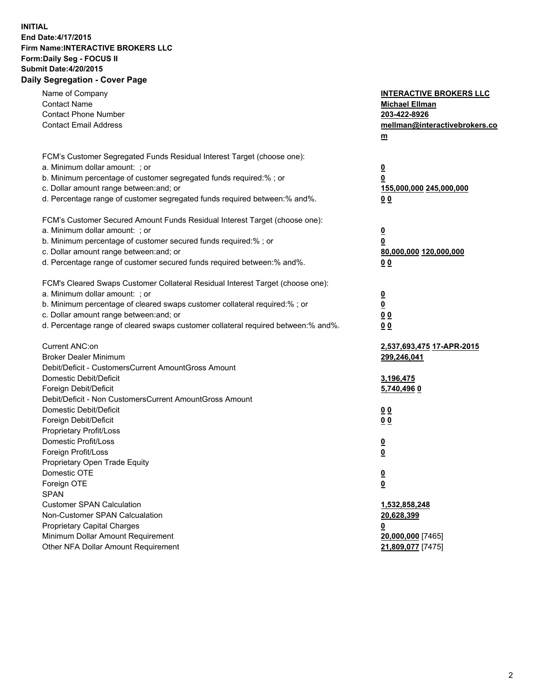## **INITIAL End Date:4/17/2015 Firm Name:INTERACTIVE BROKERS LLC Form:Daily Seg - FOCUS II Submit Date:4/20/2015 Daily Segregation - Cover Page**

| Name of Company                                                                   | <b>INTERACTIVE BROKERS LLC</b> |
|-----------------------------------------------------------------------------------|--------------------------------|
| <b>Contact Name</b>                                                               | <b>Michael Ellman</b>          |
| <b>Contact Phone Number</b>                                                       | 203-422-8926                   |
| <b>Contact Email Address</b>                                                      | mellman@interactivebrokers.co  |
|                                                                                   | $\underline{\mathbf{m}}$       |
| FCM's Customer Segregated Funds Residual Interest Target (choose one):            |                                |
| a. Minimum dollar amount: ; or                                                    | $\overline{\mathbf{0}}$        |
| b. Minimum percentage of customer segregated funds required:% ; or                | 0                              |
| c. Dollar amount range between: and; or                                           | 155,000,000 245,000,000        |
| d. Percentage range of customer segregated funds required between:% and%.         | 00                             |
| FCM's Customer Secured Amount Funds Residual Interest Target (choose one):        |                                |
| a. Minimum dollar amount: ; or                                                    | $\overline{\mathbf{0}}$        |
| b. Minimum percentage of customer secured funds required:% ; or                   | 0                              |
| c. Dollar amount range between: and; or                                           | 80,000,000 120,000,000         |
| d. Percentage range of customer secured funds required between:% and%.            | 00                             |
|                                                                                   |                                |
| FCM's Cleared Swaps Customer Collateral Residual Interest Target (choose one):    |                                |
| a. Minimum dollar amount: ; or                                                    | $\overline{\mathbf{0}}$        |
| b. Minimum percentage of cleared swaps customer collateral required:% ; or        | $\underline{\mathbf{0}}$       |
| c. Dollar amount range between: and; or                                           | 0 <sub>0</sub>                 |
| d. Percentage range of cleared swaps customer collateral required between:% and%. | 0 <sub>0</sub>                 |
| Current ANC:on                                                                    | 2,537,693,475 17-APR-2015      |
| <b>Broker Dealer Minimum</b>                                                      | 299,246,041                    |
| Debit/Deficit - CustomersCurrent AmountGross Amount                               |                                |
| Domestic Debit/Deficit                                                            | 3,196,475                      |
| Foreign Debit/Deficit                                                             | 5,740,496 0                    |
| Debit/Deficit - Non CustomersCurrent AmountGross Amount                           |                                |
| Domestic Debit/Deficit                                                            | 0 <sub>0</sub>                 |
| Foreign Debit/Deficit                                                             | 0 <sub>0</sub>                 |
| Proprietary Profit/Loss                                                           |                                |
| Domestic Profit/Loss                                                              | $\overline{\mathbf{0}}$        |
| Foreign Profit/Loss                                                               | $\underline{\mathbf{0}}$       |
| Proprietary Open Trade Equity                                                     |                                |
| Domestic OTE                                                                      | <u>0</u>                       |
| Foreign OTE                                                                       | <u>0</u>                       |
| <b>SPAN</b>                                                                       |                                |
| <b>Customer SPAN Calculation</b>                                                  | 1,532,858,248                  |
| Non-Customer SPAN Calcualation                                                    | 20,628,399                     |
| Proprietary Capital Charges                                                       | <u>0</u>                       |
| Minimum Dollar Amount Requirement                                                 | 20,000,000 [7465]              |
| Other NFA Dollar Amount Requirement                                               | 21,809,077 [7475]              |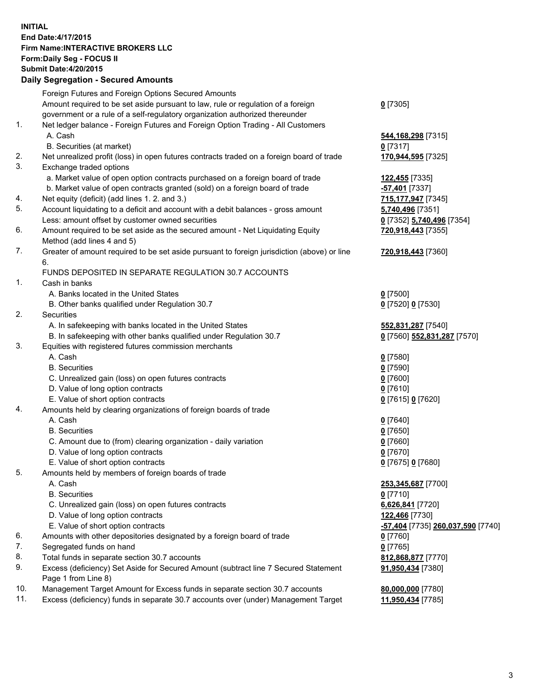## **INITIAL End Date:4/17/2015 Firm Name:INTERACTIVE BROKERS LLC Form:Daily Seg - FOCUS II Submit Date:4/20/2015 Daily Segregation - Secured Amounts**

|     | Dany Ocgregation - Oceanea Annoanta                                                         |                                   |
|-----|---------------------------------------------------------------------------------------------|-----------------------------------|
|     | Foreign Futures and Foreign Options Secured Amounts                                         |                                   |
|     | Amount required to be set aside pursuant to law, rule or regulation of a foreign            | $0$ [7305]                        |
|     | government or a rule of a self-regulatory organization authorized thereunder                |                                   |
| 1.  | Net ledger balance - Foreign Futures and Foreign Option Trading - All Customers             |                                   |
|     | A. Cash                                                                                     | 544,168,298 [7315]                |
|     | B. Securities (at market)                                                                   | 0 [7317]                          |
| 2.  | Net unrealized profit (loss) in open futures contracts traded on a foreign board of trade   | 170,944,595 [7325]                |
| 3.  | Exchange traded options                                                                     |                                   |
|     | a. Market value of open option contracts purchased on a foreign board of trade              |                                   |
|     |                                                                                             | 122,455 [7335]                    |
|     | b. Market value of open contracts granted (sold) on a foreign board of trade                | -57,401 [7337]                    |
| 4.  | Net equity (deficit) (add lines 1.2. and 3.)                                                | 715,177,947 [7345]                |
| 5.  | Account liquidating to a deficit and account with a debit balances - gross amount           | 5,740,496 [7351]                  |
|     | Less: amount offset by customer owned securities                                            | 0 [7352] 5,740,496 [7354]         |
| 6.  | Amount required to be set aside as the secured amount - Net Liquidating Equity              | 720,918,443 [7355]                |
|     | Method (add lines 4 and 5)                                                                  |                                   |
| 7.  | Greater of amount required to be set aside pursuant to foreign jurisdiction (above) or line | 720,918,443 [7360]                |
|     | 6.                                                                                          |                                   |
|     | FUNDS DEPOSITED IN SEPARATE REGULATION 30.7 ACCOUNTS                                        |                                   |
| 1.  | Cash in banks                                                                               |                                   |
|     | A. Banks located in the United States                                                       | $0$ [7500]                        |
|     | B. Other banks qualified under Regulation 30.7                                              | 0 [7520] 0 [7530]                 |
| 2.  | Securities                                                                                  |                                   |
|     | A. In safekeeping with banks located in the United States                                   | 552,831,287 [7540]                |
|     | B. In safekeeping with other banks qualified under Regulation 30.7                          | 0 [7560] 552,831,287 [7570]       |
| 3.  | Equities with registered futures commission merchants                                       |                                   |
|     | A. Cash                                                                                     | $0$ [7580]                        |
|     | <b>B.</b> Securities                                                                        | $0$ [7590]                        |
|     | C. Unrealized gain (loss) on open futures contracts                                         | $0$ [7600]                        |
|     | D. Value of long option contracts                                                           | $0$ [7610]                        |
|     | E. Value of short option contracts                                                          |                                   |
| 4.  |                                                                                             | 0 [7615] 0 [7620]                 |
|     | Amounts held by clearing organizations of foreign boards of trade                           |                                   |
|     | A. Cash                                                                                     | $0$ [7640]                        |
|     | <b>B.</b> Securities                                                                        | $0$ [7650]                        |
|     | C. Amount due to (from) clearing organization - daily variation                             | $0$ [7660]                        |
|     | D. Value of long option contracts                                                           | $0$ [7670]                        |
|     | E. Value of short option contracts                                                          | 0 [7675] 0 [7680]                 |
| 5.  | Amounts held by members of foreign boards of trade                                          |                                   |
|     | A. Cash                                                                                     | 253,345,687 [7700]                |
|     | <b>B.</b> Securities                                                                        | $0$ [7710]                        |
|     | C. Unrealized gain (loss) on open futures contracts                                         | 6,626,841 [7720]                  |
|     | D. Value of long option contracts                                                           | 122,466 [7730]                    |
|     | E. Value of short option contracts                                                          | -57,404 [7735] 260,037,590 [7740] |
| 6.  | Amounts with other depositories designated by a foreign board of trade                      | 0 [7760]                          |
| 7.  | Segregated funds on hand                                                                    | $0$ [7765]                        |
| 8.  | Total funds in separate section 30.7 accounts                                               | 812,868,877 [7770]                |
| 9.  | Excess (deficiency) Set Aside for Secured Amount (subtract line 7 Secured Statement         | 91,950,434 [7380]                 |
|     | Page 1 from Line 8)                                                                         |                                   |
| 10. | Management Target Amount for Excess funds in separate section 30.7 accounts                 | 80,000,000 [7780]                 |
| 11. | Excess (deficiency) funds in separate 30.7 accounts over (under) Management Target          | 11,950,434 [7785]                 |
|     |                                                                                             |                                   |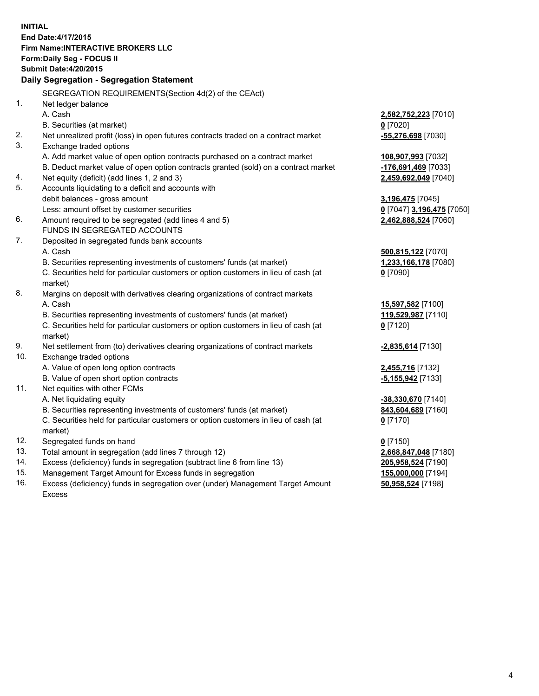**INITIAL End Date:4/17/2015 Firm Name:INTERACTIVE BROKERS LLC Form:Daily Seg - FOCUS II Submit Date:4/20/2015 Daily Segregation - Segregation Statement** SEGREGATION REQUIREMENTS(Section 4d(2) of the CEAct) 1. Net ledger balance A. Cash **2,582,752,223** [7010] B. Securities (at market) **0** [7020] 2. Net unrealized profit (loss) in open futures contracts traded on a contract market **-55,276,698** [7030] 3. Exchange traded options A. Add market value of open option contracts purchased on a contract market **108,907,993** [7032] B. Deduct market value of open option contracts granted (sold) on a contract market **-176,691,469** [7033] 4. Net equity (deficit) (add lines 1, 2 and 3) **2,459,692,049** [7040] 5. Accounts liquidating to a deficit and accounts with debit balances - gross amount **3,196,475** [7045] Less: amount offset by customer securities **0** [7047] **3,196,475** [7050] 6. Amount required to be segregated (add lines 4 and 5) **2,462,888,524** [7060] FUNDS IN SEGREGATED ACCOUNTS 7. Deposited in segregated funds bank accounts A. Cash **500,815,122** [7070] B. Securities representing investments of customers' funds (at market) **1,233,166,178** [7080] C. Securities held for particular customers or option customers in lieu of cash (at market) **0** [7090] 8. Margins on deposit with derivatives clearing organizations of contract markets A. Cash **15,597,582** [7100] B. Securities representing investments of customers' funds (at market) **119,529,987** [7110] C. Securities held for particular customers or option customers in lieu of cash (at market) **0** [7120] 9. Net settlement from (to) derivatives clearing organizations of contract markets **-2,835,614** [7130] 10. Exchange traded options A. Value of open long option contracts **2,455,716** [7132] B. Value of open short option contracts **-5,155,942** [7133] 11. Net equities with other FCMs A. Net liquidating equity **-38,330,670** [7140] B. Securities representing investments of customers' funds (at market) **843,604,689** [7160] C. Securities held for particular customers or option customers in lieu of cash (at market) **0** [7170] 12. Segregated funds on hand **0** [7150] 13. Total amount in segregation (add lines 7 through 12) **2,668,847,048** [7180] 14. Excess (deficiency) funds in segregation (subtract line 6 from line 13) **205,958,524** [7190] 15. Management Target Amount for Excess funds in segregation **155,000,000** [7194]

16. Excess (deficiency) funds in segregation over (under) Management Target Amount Excess

**50,958,524** [7198]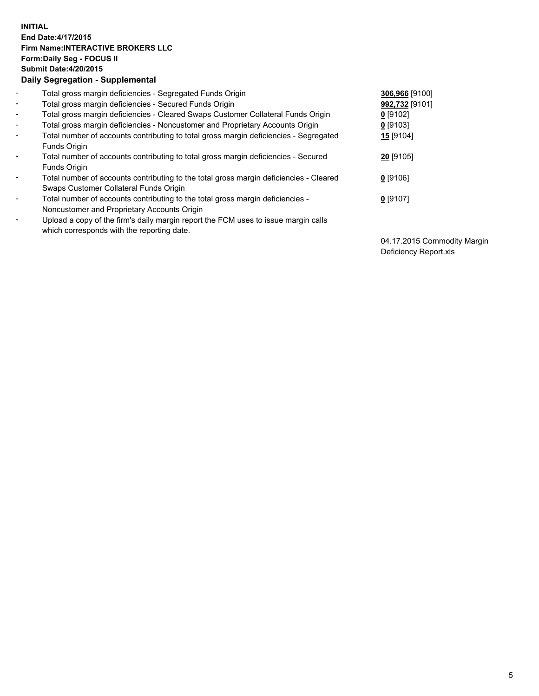## **INITIAL End Date:4/17/2015 Firm Name:INTERACTIVE BROKERS LLC Form:Daily Seg - FOCUS II Submit Date:4/20/2015 Daily Segregation - Supplemental**

| $\blacksquare$           | Total gross margin deficiencies - Segregated Funds Origin                              | 306,966 [9100] |
|--------------------------|----------------------------------------------------------------------------------------|----------------|
| $\blacksquare$           | Total gross margin deficiencies - Secured Funds Origin                                 | 992,732 [9101] |
| $\blacksquare$           | Total gross margin deficiencies - Cleared Swaps Customer Collateral Funds Origin       | $0$ [9102]     |
| $\blacksquare$           | Total gross margin deficiencies - Noncustomer and Proprietary Accounts Origin          | $0$ [9103]     |
| $\blacksquare$           | Total number of accounts contributing to total gross margin deficiencies - Segregated  | 15 [9104]      |
|                          | Funds Origin                                                                           |                |
| $\blacksquare$           | Total number of accounts contributing to total gross margin deficiencies - Secured     | 20 [9105]      |
|                          | Funds Origin                                                                           |                |
| $\blacksquare$           | Total number of accounts contributing to the total gross margin deficiencies - Cleared | $0$ [9106]     |
|                          | Swaps Customer Collateral Funds Origin                                                 |                |
| $\overline{\phantom{a}}$ | Total number of accounts contributing to the total gross margin deficiencies -         | $0$ [9107]     |
|                          | Noncustomer and Proprietary Accounts Origin                                            |                |
| $\overline{\phantom{a}}$ | Upload a copy of the firm's daily margin report the FCM uses to issue margin calls     |                |
|                          | which corresponds with the reporting date.                                             |                |

04.17.2015 Commodity Margin Deficiency Report.xls